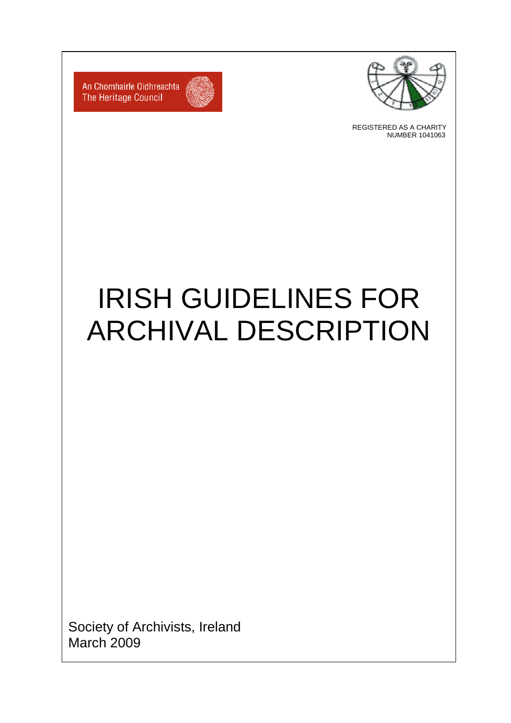

REGISTERED AS A CHARITY NUMBER 1041063



An Chomhairle Oidhreachta The Heritage Council

# IRISH GUIDELINES FOR ARCHIVAL DESCRIPTION

Society of Archivists, Ireland March 2009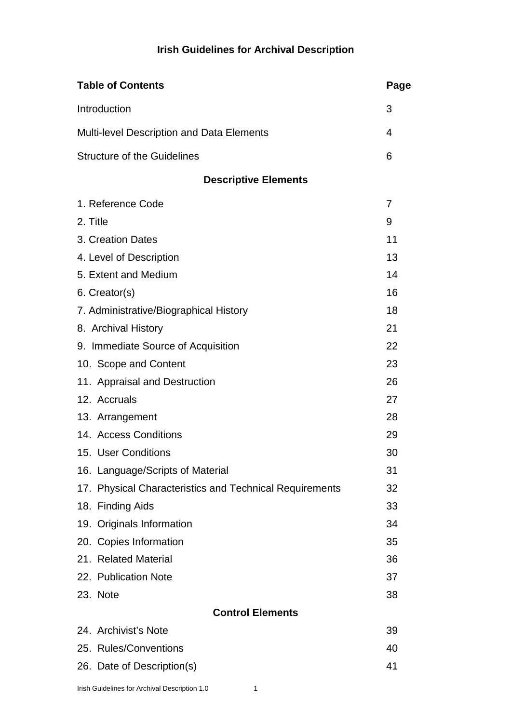# **Irish Guidelines for Archival Description**

| <b>Table of Contents</b>                                | Page |
|---------------------------------------------------------|------|
| Introduction                                            | 3    |
| <b>Multi-level Description and Data Elements</b>        | 4    |
| <b>Structure of the Guidelines</b>                      | 6    |
| <b>Descriptive Elements</b>                             |      |
| 1. Reference Code                                       | 7    |
| 2. Title                                                | 9    |
| 3. Creation Dates                                       | 11   |
| 4. Level of Description                                 | 13   |
| 5. Extent and Medium                                    | 14   |
| 6. Creator(s)                                           | 16   |
| 7. Administrative/Biographical History                  | 18   |
| 8. Archival History                                     | 21   |
| 9. Immediate Source of Acquisition                      | 22   |
| 10. Scope and Content                                   | 23   |
| 11. Appraisal and Destruction                           | 26   |
| 12. Accruals                                            | 27   |
| 13. Arrangement                                         | 28   |
| 14. Access Conditions                                   | 29   |
| 15. User Conditions                                     | 30   |
| 16. Language/Scripts of Material                        | 31   |
| 17. Physical Characteristics and Technical Requirements | 32   |
| 18. Finding Aids                                        | 33   |
| 19. Originals Information                               | 34   |
| 20. Copies Information                                  | 35   |
| 21. Related Material                                    | 36   |
| 22. Publication Note                                    | 37   |
| 23. Note                                                | 38   |
| <b>Control Elements</b>                                 |      |
| 24. Archivist's Note                                    | 39   |
| 25. Rules/Conventions                                   | 40   |
| 26. Date of Description(s)                              | 41   |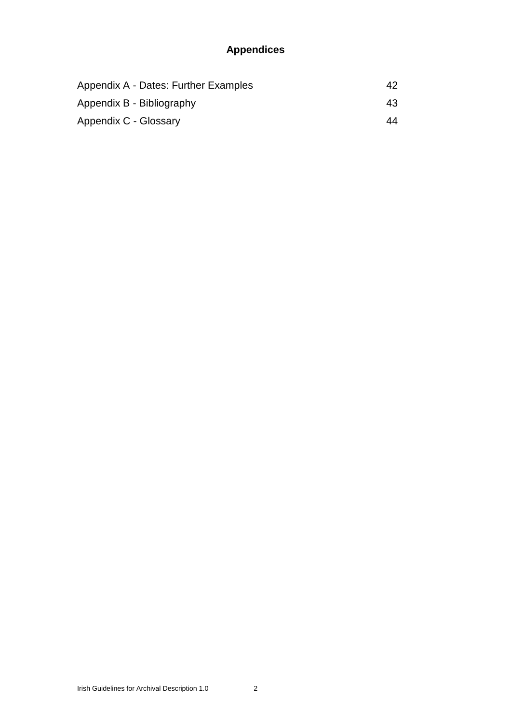# **Appendices**

| Appendix A - Dates: Further Examples | 42 |
|--------------------------------------|----|
| Appendix B - Bibliography            | 43 |
| Appendix C - Glossary                | 44 |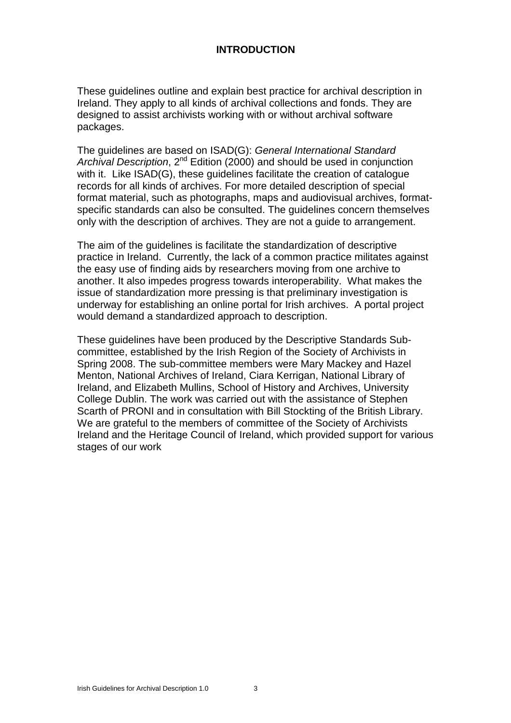# **INTRODUCTION**

These guidelines outline and explain best practice for archival description in Ireland. They apply to all kinds of archival collections and fonds. They are designed to assist archivists working with or without archival software packages.

The guidelines are based on ISAD(G): *General International Standard* Archival Description, 2<sup>nd</sup> Edition (2000) and should be used in conjunction with it. Like ISAD(G), these quidelines facilitate the creation of catalogue records for all kinds of archives. For more detailed description of special format material, such as photographs, maps and audiovisual archives, formatspecific standards can also be consulted. The guidelines concern themselves only with the description of archives. They are not a guide to arrangement.

The aim of the guidelines is facilitate the standardization of descriptive practice in Ireland. Currently, the lack of a common practice militates against the easy use of finding aids by researchers moving from one archive to another. It also impedes progress towards interoperability. What makes the issue of standardization more pressing is that preliminary investigation is underway for establishing an online portal for Irish archives. A portal project would demand a standardized approach to description.

These guidelines have been produced by the Descriptive Standards Subcommittee, established by the Irish Region of the Society of Archivists in Spring 2008. The sub-committee members were Mary Mackey and Hazel Menton, National Archives of Ireland, Ciara Kerrigan, National Library of Ireland, and Elizabeth Mullins, School of History and Archives, University College Dublin. The work was carried out with the assistance of Stephen Scarth of PRONI and in consultation with Bill Stockting of the British Library. We are grateful to the members of committee of the Society of Archivists Ireland and the Heritage Council of Ireland, which provided support for various stages of our work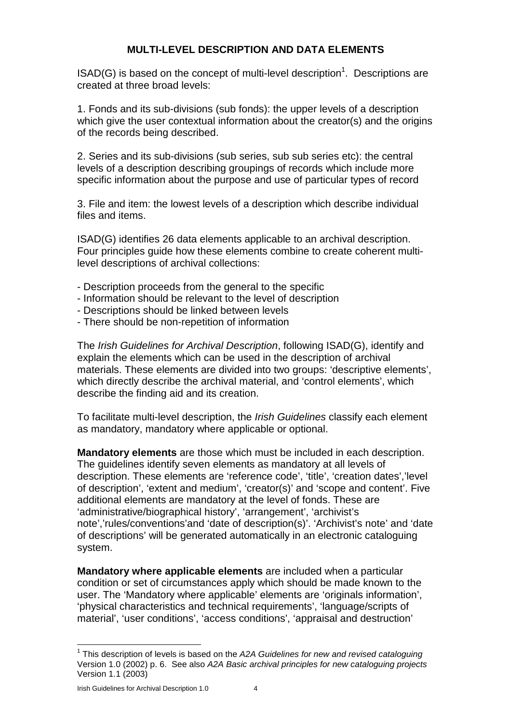# **MULTI-LEVEL DESCRIPTION AND DATA ELEMENTS**

 $\mathsf{ISAD}(G)$  is based on the concept of multi-level description<sup>1</sup>. Descriptions are created at three broad levels:

1. Fonds and its sub-divisions (sub fonds): the upper levels of a description which give the user contextual information about the creator(s) and the origins of the records being described.

2. Series and its sub-divisions (sub series, sub sub series etc): the central levels of a description describing groupings of records which include more specific information about the purpose and use of particular types of record

3. File and item: the lowest levels of a description which describe individual files and items.

ISAD(G) identifies 26 data elements applicable to an archival description. Four principles guide how these elements combine to create coherent multilevel descriptions of archival collections:

- Description proceeds from the general to the specific
- Information should be relevant to the level of description
- Descriptions should be linked between levels
- There should be non-repetition of information

The *Irish Guidelines for Archival Description*, following ISAD(G), identify and explain the elements which can be used in the description of archival materials. These elements are divided into two groups: 'descriptive elements', which directly describe the archival material, and 'control elements', which describe the finding aid and its creation.

To facilitate multi-level description, the *Irish Guidelines* classify each element as mandatory, mandatory where applicable or optional.

**Mandatory elements** are those which must be included in each description. The guidelines identify seven elements as mandatory at all levels of description. These elements are 'reference code', 'title', 'creation dates','level of description', 'extent and medium', 'creator(s)' and 'scope and content'. Five additional elements are mandatory at the level of fonds. These are 'administrative/biographical history', 'arrangement', 'archivist's note','rules/conventions'and 'date of description(s)'. 'Archivist's note' and 'date of descriptions' will be generated automatically in an electronic cataloguing system.

**Mandatory where applicable elements** are included when a particular condition or set of circumstances apply which should be made known to the user. The 'Mandatory where applicable' elements are 'originals information', 'physical characteristics and technical requirements', 'language/scripts of material', 'user conditions', 'access conditions', 'appraisal and destruction'

<sup>1</sup> This description of levels is based on the *A2A Guidelines for new and revised cataloguing* Version 1.0 (2002) p. 6. See also *A2A Basic archival principles for new cataloguing projects* Version 1.1 (2003)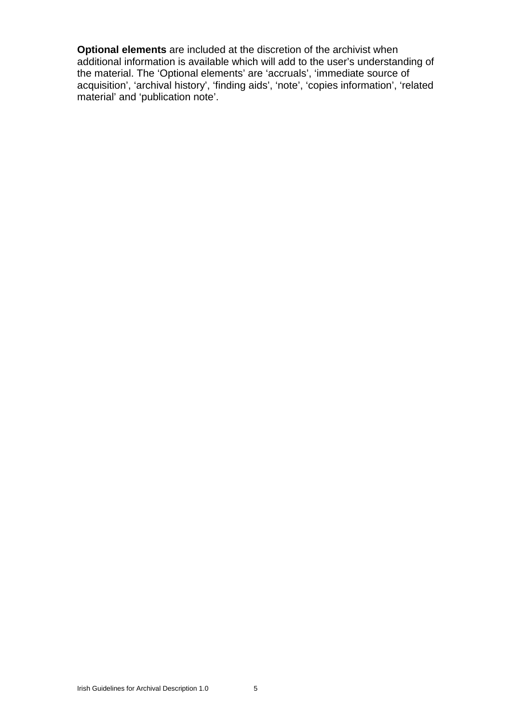**Optional elements** are included at the discretion of the archivist when additional information is available which will add to the user's understanding of the material. The 'Optional elements' are 'accruals', 'immediate source of acquisition', 'archival history', 'finding aids', 'note', 'copies information', 'related material' and 'publication note'.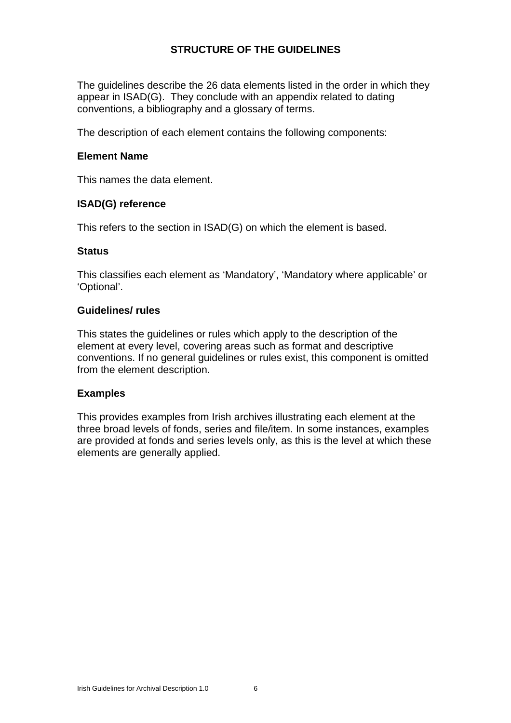# **STRUCTURE OF THE GUIDELINES**

The guidelines describe the 26 data elements listed in the order in which they appear in ISAD(G). They conclude with an appendix related to dating conventions, a bibliography and a glossary of terms.

The description of each element contains the following components:

#### **Element Name**

This names the data element.

#### **ISAD(G) reference**

This refers to the section in ISAD(G) on which the element is based.

#### **Status**

This classifies each element as 'Mandatory', 'Mandatory where applicable' or 'Optional'.

#### **Guidelines/ rules**

This states the guidelines or rules which apply to the description of the element at every level, covering areas such as format and descriptive conventions. If no general guidelines or rules exist, this component is omitted from the element description.

#### **Examples**

This provides examples from Irish archives illustrating each element at the three broad levels of fonds, series and file/item. In some instances, examples are provided at fonds and series levels only, as this is the level at which these elements are generally applied.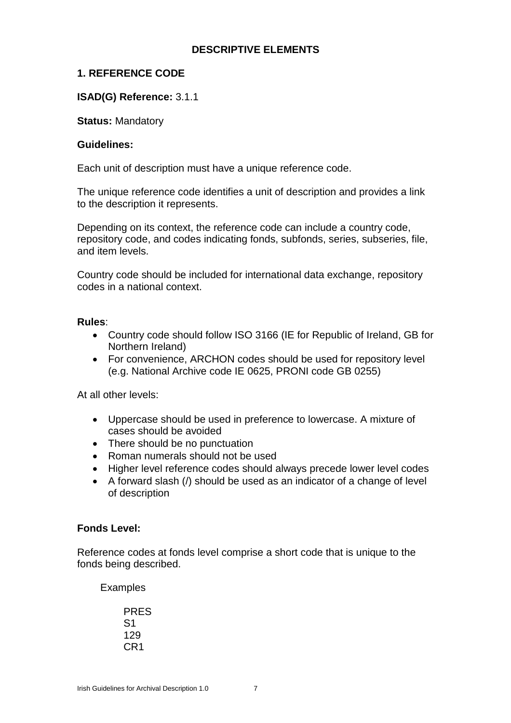# **DESCRIPTIVE ELEMENTS**

# **1. REFERENCE CODE**

# **ISAD(G) Reference:** 3.1.1

**Status:** Mandatory

#### **Guidelines:**

Each unit of description must have a unique reference code.

The unique reference code identifies a unit of description and provides a link to the description it represents.

Depending on its context, the reference code can include a country code, repository code, and codes indicating fonds, subfonds, series, subseries, file, and item levels.

Country code should be included for international data exchange, repository codes in a national context.

#### **Rules**:

- Country code should follow ISO 3166 (IE for Republic of Ireland, GB for Northern Ireland)
- For convenience, ARCHON codes should be used for repository level (e.g. National Archive code IE 0625, PRONI code GB 0255)

At all other levels:

- Uppercase should be used in preference to lowercase. A mixture of cases should be avoided
- There should be no punctuation
- Roman numerals should not be used
- Higher level reference codes should always precede lower level codes
- A forward slash (/) should be used as an indicator of a change of level of description

## **Fonds Level:**

Reference codes at fonds level comprise a short code that is unique to the fonds being described.

Examples

PRES S1 129 CR1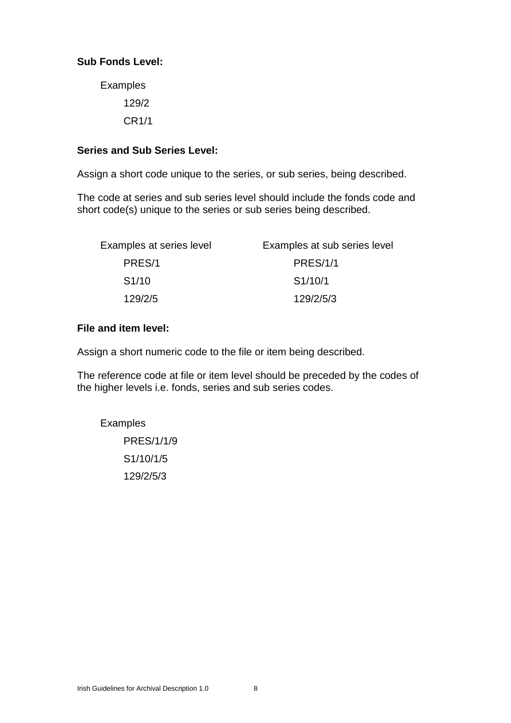# **Sub Fonds Level:**

Examples 129/2 CR1/1

## **Series and Sub Series Level:**

Assign a short code unique to the series, or sub series, being described.

The code at series and sub series level should include the fonds code and short code(s) unique to the series or sub series being described.

| Examples at series level | Examples at sub series level |
|--------------------------|------------------------------|
| PRES/1                   | <b>PRES/1/1</b>              |
| S1/10                    | S1/10/1                      |
| 129/2/5                  | 129/2/5/3                    |

#### **File and item level:**

Assign a short numeric code to the file or item being described.

The reference code at file or item level should be preceded by the codes of the higher levels i.e. fonds, series and sub series codes.

Examples PRES/1/1/9

> S1/10/1/5 129/2/5/3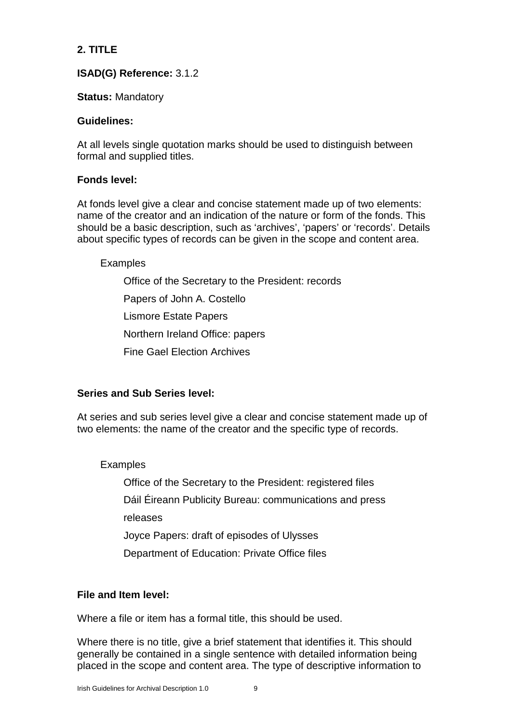# **2. TITLE**

# **ISAD(G) Reference:** 3.1.2

# **Status:** Mandatory

# **Guidelines:**

At all levels single quotation marks should be used to distinguish between formal and supplied titles.

# **Fonds level:**

At fonds level give a clear and concise statement made up of two elements: name of the creator and an indication of the nature or form of the fonds. This should be a basic description, such as 'archives', 'papers' or 'records'. Details about specific types of records can be given in the scope and content area.

# Examples

Office of the Secretary to the President: records Papers of John A. Costello Lismore Estate Papers Northern Ireland Office: papers Fine Gael Election Archives

# **Series and Sub Series level:**

At series and sub series level give a clear and concise statement made up of two elements: the name of the creator and the specific type of records.

# Examples

Office of the Secretary to the President: registered files Dáil Éireann Publicity Bureau: communications and press releases Joyce Papers: draft of episodes of Ulysses Department of Education: Private Office files

# **File and Item level:**

Where a file or item has a formal title, this should be used.

Where there is no title, give a brief statement that identifies it. This should generally be contained in a single sentence with detailed information being placed in the scope and content area. The type of descriptive information to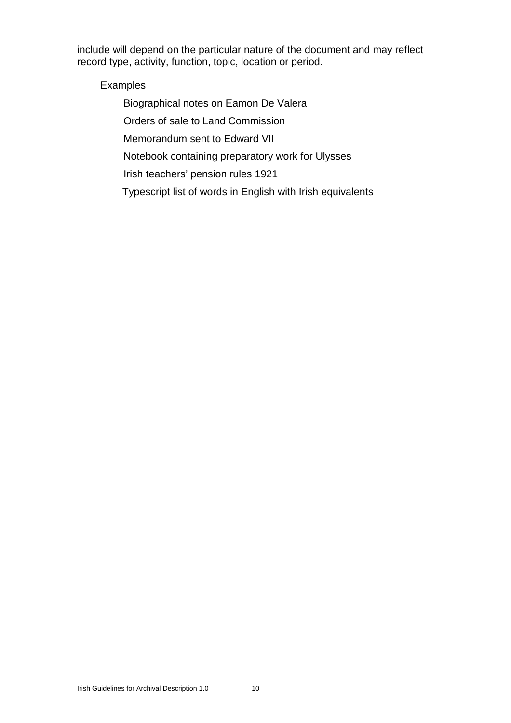include will depend on the particular nature of the document and may reflect record type, activity, function, topic, location or period.

Examples

Biographical notes on Eamon De Valera

Orders of sale to Land Commission

Memorandum sent to Edward VII

Notebook containing preparatory work for Ulysses

Irish teachers' pension rules 1921

Typescript list of words in English with Irish equivalents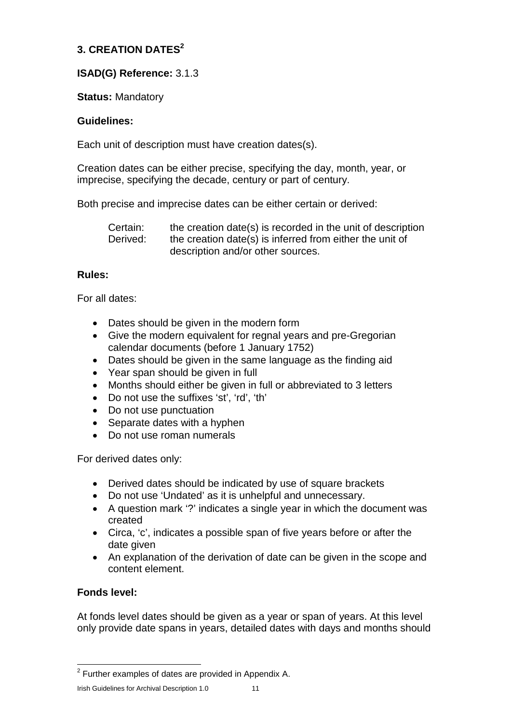# **3. CREATION DATES<sup>2</sup>**

# **ISAD(G) Reference:** 3.1.3

# **Status:** Mandatory

# **Guidelines:**

Each unit of description must have creation dates(s).

Creation dates can be either precise, specifying the day, month, year, or imprecise, specifying the decade, century or part of century.

Both precise and imprecise dates can be either certain or derived:

Certain: the creation date(s) is recorded in the unit of description Derived: the creation date(s) is inferred from either the unit of description and/or other sources.

# **Rules:**

For all dates:

- Dates should be given in the modern form
- Give the modern equivalent for regnal years and pre-Gregorian calendar documents (before 1 January 1752)
- Dates should be given in the same language as the finding aid
- Year span should be given in full
- Months should either be given in full or abbreviated to 3 letters
- Do not use the suffixes 'st', 'rd', 'th'
- Do not use punctuation
- Separate dates with a hyphen
- Do not use roman numerals

For derived dates only:

- Derived dates should be indicated by use of square brackets
- Do not use 'Undated' as it is unhelpful and unnecessary.
- A question mark '?' indicates a single year in which the document was created
- Circa, 'c', indicates a possible span of five years before or after the date given
- An explanation of the derivation of date can be given in the scope and content element.

# **Fonds level:**

At fonds level dates should be given as a year or span of years. At this level only provide date spans in years, detailed dates with days and months should

 $2$  Further examples of dates are provided in Appendix A.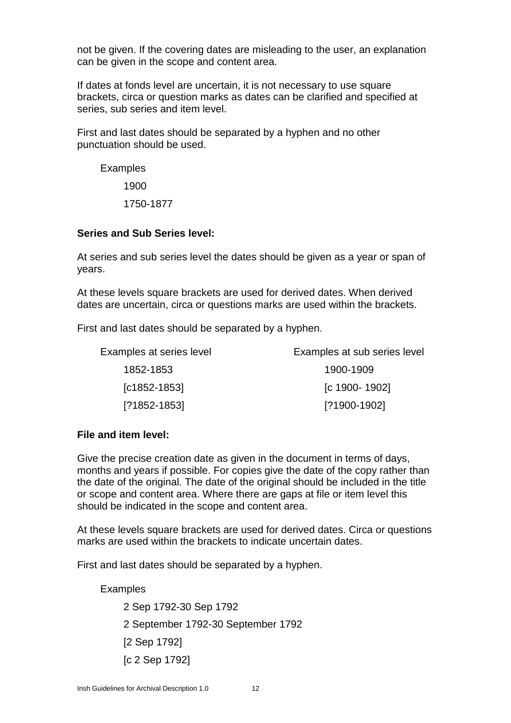not be given. If the covering dates are misleading to the user, an explanation can be given in the scope and content area.

If dates at fonds level are uncertain, it is not necessary to use square brackets, circa or question marks as dates can be clarified and specified at series, sub series and item level.

First and last dates should be separated by a hyphen and no other punctuation should be used.

Examples

1900

1750-1877

#### **Series and Sub Series level:**

At series and sub series level the dates should be given as a year or span of years.

At these levels square brackets are used for derived dates. When derived dates are uncertain, circa or questions marks are used within the brackets.

First and last dates should be separated by a hyphen.

| Examples at series level | Examples at sub series level |
|--------------------------|------------------------------|
| 1852-1853                | 1900-1909                    |
| $[C1852-1853]$           | [c 1900-1902]                |
| $[?1852-1853]$           | [?1900-1902]                 |

#### **File and item level:**

Give the precise creation date as given in the document in terms of days, months and years if possible. For copies give the date of the copy rather than the date of the original. The date of the original should be included in the title or scope and content area. Where there are gaps at file or item level this should be indicated in the scope and content area.

At these levels square brackets are used for derived dates. Circa or questions marks are used within the brackets to indicate uncertain dates.

First and last dates should be separated by a hyphen.

Examples

2 Sep 1792-30 Sep 1792 2 September 1792-30 September 1792 [2 Sep 1792] [c 2 Sep 1792]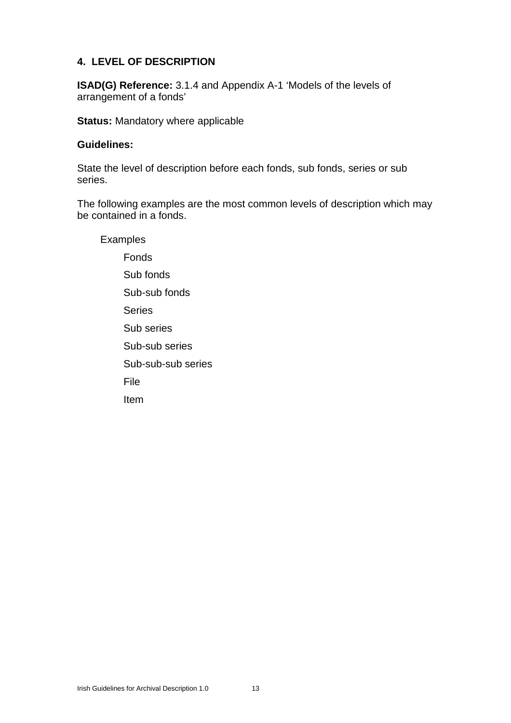# **4. LEVEL OF DESCRIPTION**

**ISAD(G) Reference:** 3.1.4 and Appendix A-1 'Models of the levels of arrangement of a fonds'

**Status:** Mandatory where applicable

#### **Guidelines:**

State the level of description before each fonds, sub fonds, series or sub series.

The following examples are the most common levels of description which may be contained in a fonds.

Examples Fonds Sub fonds Sub-sub fonds Series Sub series Sub-sub series Sub-sub-sub series File Item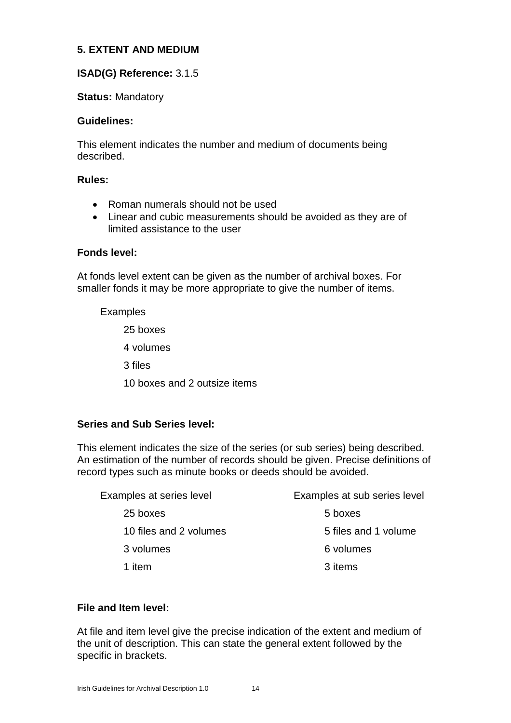# **5. EXTENT AND MEDIUM**

# **ISAD(G) Reference:** 3.1.5

## **Status:** Mandatory

#### **Guidelines:**

This element indicates the number and medium of documents being described.

#### **Rules:**

- Roman numerals should not be used
- Linear and cubic measurements should be avoided as they are of limited assistance to the user

#### **Fonds level:**

At fonds level extent can be given as the number of archival boxes. For smaller fonds it may be more appropriate to give the number of items.

## Examples

25 boxes 4 volumes 3 files 10 boxes and 2 outsize items

# **Series and Sub Series level:**

This element indicates the size of the series (or sub series) being described. An estimation of the number of records should be given. Precise definitions of record types such as minute books or deeds should be avoided.

| Examples at series level | Examples at sub series level |  |
|--------------------------|------------------------------|--|
| 25 boxes                 | 5 boxes                      |  |
| 10 files and 2 volumes   | 5 files and 1 volume         |  |
| 3 volumes                | 6 volumes                    |  |
| 1 item                   | 3 items                      |  |

## **File and Item level:**

At file and item level give the precise indication of the extent and medium of the unit of description. This can state the general extent followed by the specific in brackets.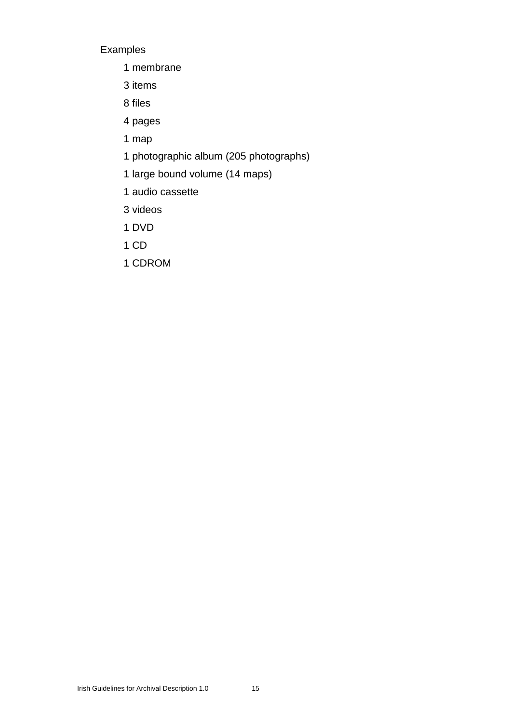# Examples

- 1 membrane
- 3 items
- 8 files
- 4 pages
- 1 map
- 1 photographic album (205 photographs)
- 1 large bound volume (14 maps)
- 1 audio cassette
- 3 videos
- 1 DVD
- 1 CD
- 1 CDROM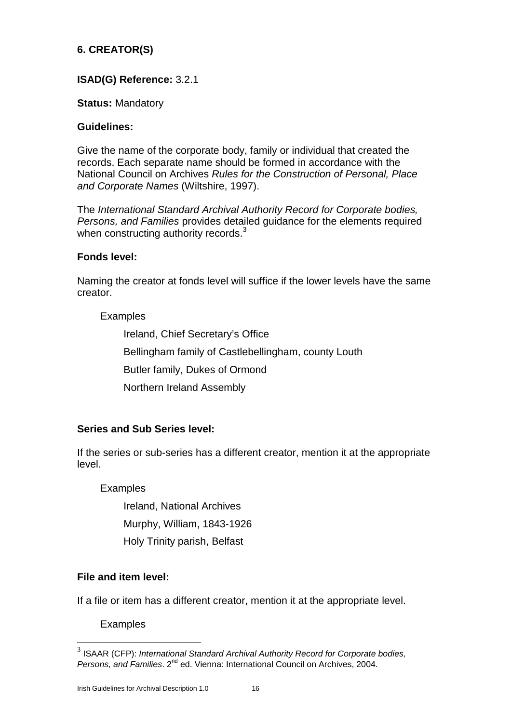# **6. CREATOR(S)**

# **ISAD(G) Reference:** 3.2.1

## **Status:** Mandatory

#### **Guidelines:**

Give the name of the corporate body, family or individual that created the records. Each separate name should be formed in accordance with the National Council on Archives *Rules for the Construction of Personal, Place and Corporate Names* (Wiltshire, 1997).

The *International Standard Archival Authority Record for Corporate bodies, Persons, and Families* provides detailed guidance for the elements required when constructing authority records.<sup>3</sup>

#### **Fonds level:**

Naming the creator at fonds level will suffice if the lower levels have the same creator.

## Examples

Ireland, Chief Secretary's Office Bellingham family of Castlebellingham, county Louth Butler family, Dukes of Ormond Northern Ireland Assembly

## **Series and Sub Series level:**

If the series or sub-series has a different creator, mention it at the appropriate level.

## Examples

Ireland, National Archives

Murphy, William, 1843-1926

Holy Trinity parish, Belfast

## **File and item level:**

If a file or item has a different creator, mention it at the appropriate level.

**Examples** 

<sup>3</sup> ISAAR (CFP): *International Standard Archival Authority Record for Corporate bodies, Persons, and Families*. 2nd ed. Vienna: International Council on Archives, 2004.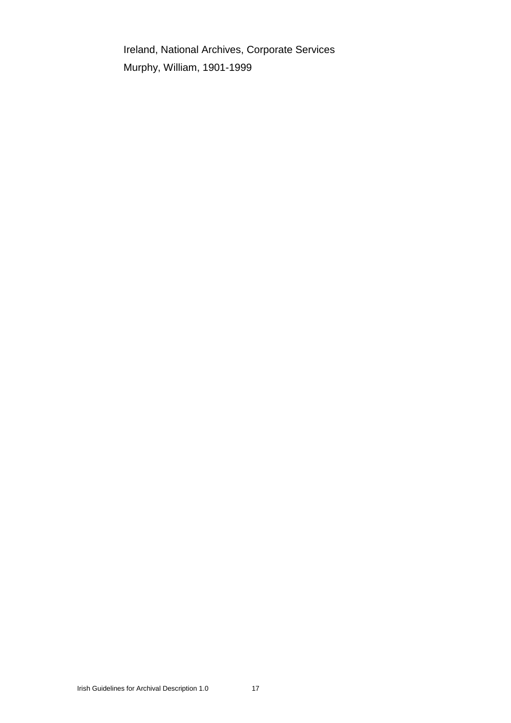Ireland, National Archives, Corporate Services Murphy, William, 1901-1999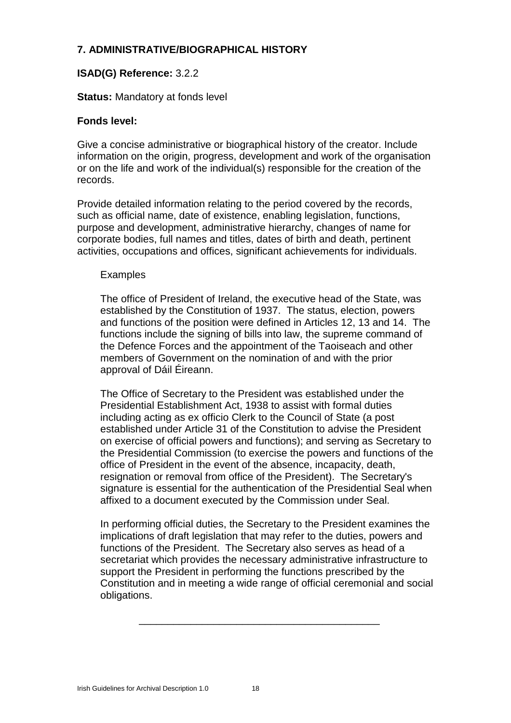# **7. ADMINISTRATIVE/BIOGRAPHICAL HISTORY**

# **ISAD(G) Reference:** 3.2.2

## **Status:** Mandatory at fonds level

## **Fonds level:**

Give a concise administrative or biographical history of the creator. Include information on the origin, progress, development and work of the organisation or on the life and work of the individual(s) responsible for the creation of the records.

Provide detailed information relating to the period covered by the records, such as official name, date of existence, enabling legislation, functions, purpose and development, administrative hierarchy, changes of name for corporate bodies, full names and titles, dates of birth and death, pertinent activities, occupations and offices, significant achievements for individuals.

#### **Examples**

The office of President of Ireland, the executive head of the State, was established by the Constitution of 1937. The status, election, powers and functions of the position were defined in Articles 12, 13 and 14. The functions include the signing of bills into law, the supreme command of the Defence Forces and the appointment of the Taoiseach and other members of Government on the nomination of and with the prior approval of Dáil Éireann.

The Office of Secretary to the President was established under the Presidential Establishment Act, 1938 to assist with formal duties including acting as ex officio Clerk to the Council of State (a post established under Article 31 of the Constitution to advise the President on exercise of official powers and functions); and serving as Secretary to the Presidential Commission (to exercise the powers and functions of the office of President in the event of the absence, incapacity, death, resignation or removal from office of the President). The Secretary's signature is essential for the authentication of the Presidential Seal when affixed to a document executed by the Commission under Seal.

In performing official duties, the Secretary to the President examines the implications of draft legislation that may refer to the duties, powers and functions of the President. The Secretary also serves as head of a secretariat which provides the necessary administrative infrastructure to support the President in performing the functions prescribed by the Constitution and in meeting a wide range of official ceremonial and social obligations.

\_\_\_\_\_\_\_\_\_\_\_\_\_\_\_\_\_\_\_\_\_\_\_\_\_\_\_\_\_\_\_\_\_\_\_\_\_\_\_\_\_\_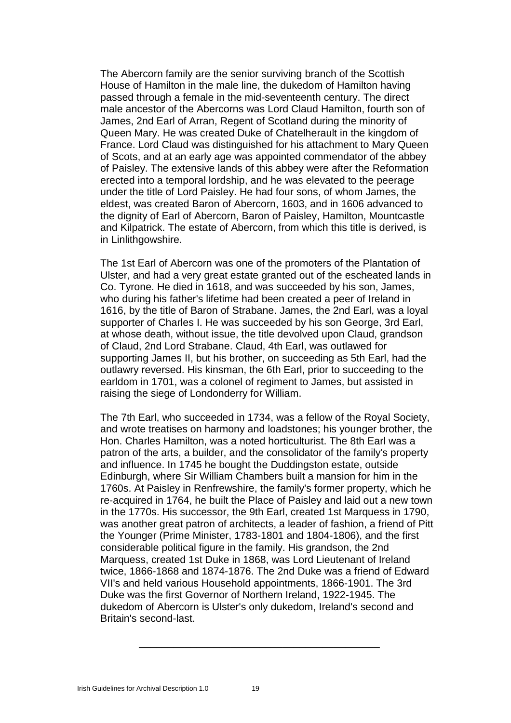The Abercorn family are the senior surviving branch of the Scottish House of Hamilton in the male line, the dukedom of Hamilton having passed through a female in the mid-seventeenth century. The direct male ancestor of the Abercorns was Lord Claud Hamilton, fourth son of James, 2nd Earl of Arran, Regent of Scotland during the minority of Queen Mary. He was created Duke of Chatelherault in the kingdom of France. Lord Claud was distinguished for his attachment to Mary Queen of Scots, and at an early age was appointed commendator of the abbey of Paisley. The extensive lands of this abbey were after the Reformation erected into a temporal lordship, and he was elevated to the peerage under the title of Lord Paisley. He had four sons, of whom James, the eldest, was created Baron of Abercorn, 1603, and in 1606 advanced to the dignity of Earl of Abercorn, Baron of Paisley, Hamilton, Mountcastle and Kilpatrick. The estate of Abercorn, from which this title is derived, is in Linlithgowshire.

The 1st Earl of Abercorn was one of the promoters of the Plantation of Ulster, and had a very great estate granted out of the escheated lands in Co. Tyrone. He died in 1618, and was succeeded by his son, James, who during his father's lifetime had been created a peer of Ireland in 1616, by the title of Baron of Strabane. James, the 2nd Earl, was a loyal supporter of Charles I. He was succeeded by his son George, 3rd Earl, at whose death, without issue, the title devolved upon Claud, grandson of Claud, 2nd Lord Strabane. Claud, 4th Earl, was outlawed for supporting James II, but his brother, on succeeding as 5th Earl, had the outlawry reversed. His kinsman, the 6th Earl, prior to succeeding to the earldom in 1701, was a colonel of regiment to James, but assisted in raising the siege of Londonderry for William.

The 7th Earl, who succeeded in 1734, was a fellow of the Royal Society, and wrote treatises on harmony and loadstones; his younger brother, the Hon. Charles Hamilton, was a noted horticulturist. The 8th Earl was a patron of the arts, a builder, and the consolidator of the family's property and influence. In 1745 he bought the Duddingston estate, outside Edinburgh, where Sir William Chambers built a mansion for him in the 1760s. At Paisley in Renfrewshire, the family's former property, which he re-acquired in 1764, he built the Place of Paisley and laid out a new town in the 1770s. His successor, the 9th Earl, created 1st Marquess in 1790, was another great patron of architects, a leader of fashion, a friend of Pitt the Younger (Prime Minister, 1783-1801 and 1804-1806), and the first considerable political figure in the family. His grandson, the 2nd Marquess, created 1st Duke in 1868, was Lord Lieutenant of Ireland twice, 1866-1868 and 1874-1876. The 2nd Duke was a friend of Edward VII's and held various Household appointments, 1866-1901. The 3rd Duke was the first Governor of Northern Ireland, 1922-1945. The dukedom of Abercorn is Ulster's only dukedom, Ireland's second and Britain's second-last.

\_\_\_\_\_\_\_\_\_\_\_\_\_\_\_\_\_\_\_\_\_\_\_\_\_\_\_\_\_\_\_\_\_\_\_\_\_\_\_\_\_\_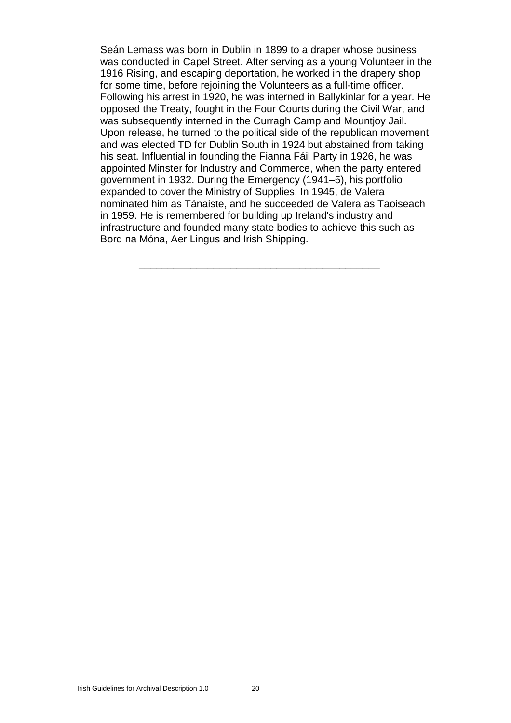Seán Lemass was born in Dublin in 1899 to a draper whose business was conducted in Capel Street. After serving as a young Volunteer in the 1916 Rising, and escaping deportation, he worked in the drapery shop for some time, before rejoining the Volunteers as a full-time officer. Following his arrest in 1920, he was interned in Ballykinlar for a year. He opposed the Treaty, fought in the Four Courts during the Civil War, and was subsequently interned in the Curragh Camp and Mountjoy Jail. Upon release, he turned to the political side of the republican movement and was elected TD for Dublin South in 1924 but abstained from taking his seat. Influential in founding the Fianna Fáil Party in 1926, he was appointed Minster for Industry and Commerce, when the party entered government in 1932. During the Emergency (1941–5), his portfolio expanded to cover the Ministry of Supplies. In 1945, de Valera nominated him as Tánaiste, and he succeeded de Valera as Taoiseach in 1959. He is remembered for building up Ireland's industry and infrastructure and founded many state bodies to achieve this such as Bord na Móna, Aer Lingus and Irish Shipping.

\_\_\_\_\_\_\_\_\_\_\_\_\_\_\_\_\_\_\_\_\_\_\_\_\_\_\_\_\_\_\_\_\_\_\_\_\_\_\_\_\_\_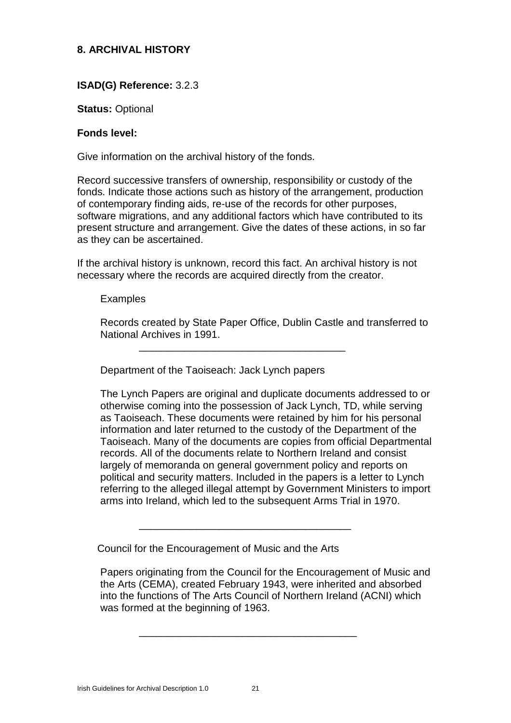# **8. ARCHIVAL HISTORY**

# **ISAD(G) Reference:** 3.2.3

#### **Status:** Optional

#### **Fonds level:**

Give information on the archival history of the fonds.

Record successive transfers of ownership, responsibility or custody of the fonds. Indicate those actions such as history of the arrangement, production of contemporary finding aids, re-use of the records for other purposes, software migrations, and any additional factors which have contributed to its present structure and arrangement. Give the dates of these actions, in so far as they can be ascertained.

If the archival history is unknown, record this fact. An archival history is not necessary where the records are acquired directly from the creator.

\_\_\_\_\_\_\_\_\_\_\_\_\_\_\_\_\_\_\_\_\_\_\_\_\_\_\_\_\_\_\_\_\_\_\_\_

#### Examples

Records created by State Paper Office, Dublin Castle and transferred to National Archives in 1991.

Department of the Taoiseach: Jack Lynch papers

The Lynch Papers are original and duplicate documents addressed to or otherwise coming into the possession of Jack Lynch, TD, while serving as Taoiseach. These documents were retained by him for his personal information and later returned to the custody of the Department of the Taoiseach. Many of the documents are copies from official Departmental records. All of the documents relate to Northern Ireland and consist largely of memoranda on general government policy and reports on political and security matters. Included in the papers is a letter to Lynch referring to the alleged illegal attempt by Government Ministers to import arms into Ireland, which led to the subsequent Arms Trial in 1970.

Council for the Encouragement of Music and the Arts

\_\_\_\_\_\_\_\_\_\_\_\_\_\_\_\_\_\_\_\_\_\_\_\_\_\_\_\_\_\_\_\_\_\_\_\_\_

Papers originating from the Council for the Encouragement of Music and the Arts (CEMA), created February 1943, were inherited and absorbed into the functions of The Arts Council of Northern Ireland (ACNI) which was formed at the beginning of 1963.

\_\_\_\_\_\_\_\_\_\_\_\_\_\_\_\_\_\_\_\_\_\_\_\_\_\_\_\_\_\_\_\_\_\_\_\_\_\_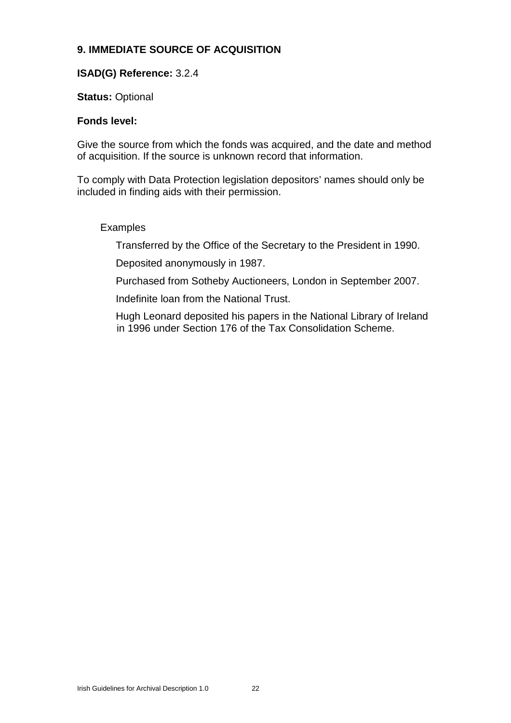# **9. IMMEDIATE SOURCE OF ACQUISITION**

# **ISAD(G) Reference:** 3.2.4

# **Status:** Optional

## **Fonds level:**

Give the source from which the fonds was acquired, and the date and method of acquisition. If the source is unknown record that information.

To comply with Data Protection legislation depositors' names should only be included in finding aids with their permission.

# Examples

Transferred by the Office of the Secretary to the President in 1990.

Deposited anonymously in 1987.

Purchased from Sotheby Auctioneers, London in September 2007.

Indefinite loan from the National Trust.

Hugh Leonard deposited his papers in the National Library of Ireland in 1996 under Section 176 of the Tax Consolidation Scheme.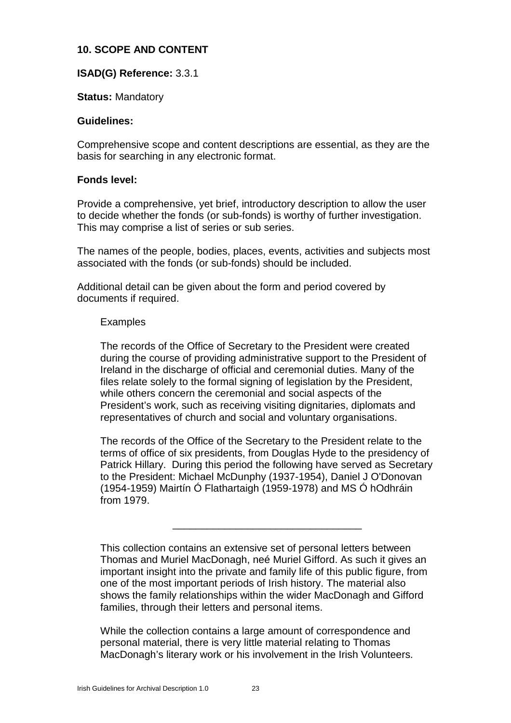# **10. SCOPE AND CONTENT**

## **ISAD(G) Reference:** 3.3.1

#### **Status:** Mandatory

#### **Guidelines:**

Comprehensive scope and content descriptions are essential, as they are the basis for searching in any electronic format.

#### **Fonds level:**

Provide a comprehensive, yet brief, introductory description to allow the user to decide whether the fonds (or sub-fonds) is worthy of further investigation. This may comprise a list of series or sub series.

The names of the people, bodies, places, events, activities and subjects most associated with the fonds (or sub-fonds) should be included.

Additional detail can be given about the form and period covered by documents if required.

#### Examples

The records of the Office of Secretary to the President were created during the course of providing administrative support to the President of Ireland in the discharge of official and ceremonial duties. Many of the files relate solely to the formal signing of legislation by the President, while others concern the ceremonial and social aspects of the President's work, such as receiving visiting dignitaries, diplomats and representatives of church and social and voluntary organisations.

The records of the Office of the Secretary to the President relate to the terms of office of six presidents, from Douglas Hyde to the presidency of Patrick Hillary. During this period the following have served as Secretary to the President: Michael McDunphy (1937-1954), Daniel J O'Donovan (1954-1959) Mairtín Ó Flathartaigh (1959-1978) and MS Ó hOdhráin from 1979.

\_\_\_\_\_\_\_\_\_\_\_\_\_\_\_\_\_\_\_\_\_\_\_\_\_\_\_\_\_\_\_\_\_

This collection contains an extensive set of personal letters between Thomas and Muriel MacDonagh, neé Muriel Gifford. As such it gives an important insight into the private and family life of this public figure, from one of the most important periods of Irish history. The material also shows the family relationships within the wider MacDonagh and Gifford families, through their letters and personal items.

While the collection contains a large amount of correspondence and personal material, there is very little material relating to Thomas MacDonagh's literary work or his involvement in the Irish Volunteers.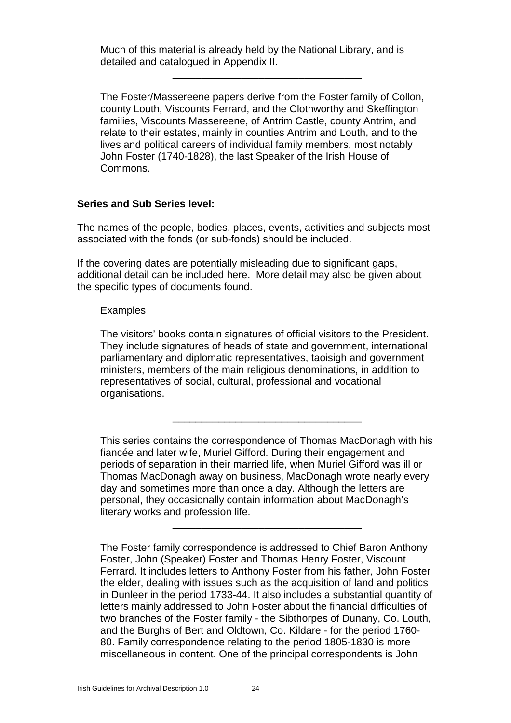Much of this material is already held by the National Library, and is detailed and catalogued in Appendix II.

The Foster/Massereene papers derive from the Foster family of Collon, county Louth, Viscounts Ferrard, and the Clothworthy and Skeffington families, Viscounts Massereene, of Antrim Castle, county Antrim, and relate to their estates, mainly in counties Antrim and Louth, and to the lives and political careers of individual family members, most notably John Foster (1740-1828), the last Speaker of the Irish House of Commons.

\_\_\_\_\_\_\_\_\_\_\_\_\_\_\_\_\_\_\_\_\_\_\_\_\_\_\_\_\_\_\_\_\_

#### **Series and Sub Series level:**

The names of the people, bodies, places, events, activities and subjects most associated with the fonds (or sub-fonds) should be included.

If the covering dates are potentially misleading due to significant gaps, additional detail can be included here. More detail may also be given about the specific types of documents found.

#### Examples

The visitors' books contain signatures of official visitors to the President. They include signatures of heads of state and government, international parliamentary and diplomatic representatives, taoisigh and government ministers, members of the main religious denominations, in addition to representatives of social, cultural, professional and vocational organisations.

This series contains the correspondence of Thomas MacDonagh with his fiancée and later wife, Muriel Gifford. During their engagement and periods of separation in their married life, when Muriel Gifford was ill or Thomas MacDonagh away on business, MacDonagh wrote nearly every day and sometimes more than once a day. Although the letters are personal, they occasionally contain information about MacDonagh's literary works and profession life. \_\_\_\_\_\_\_\_\_\_\_\_\_\_\_\_\_\_\_\_\_\_\_\_\_\_\_\_\_\_\_\_\_

\_\_\_\_\_\_\_\_\_\_\_\_\_\_\_\_\_\_\_\_\_\_\_\_\_\_\_\_\_\_\_\_\_

The Foster family correspondence is addressed to Chief Baron Anthony Foster, John (Speaker) Foster and Thomas Henry Foster, Viscount Ferrard. It includes letters to Anthony Foster from his father, John Foster the elder, dealing with issues such as the acquisition of land and politics in Dunleer in the period 1733-44. It also includes a substantial quantity of letters mainly addressed to John Foster about the financial difficulties of two branches of the Foster family - the Sibthorpes of Dunany, Co. Louth, and the Burghs of Bert and Oldtown, Co. Kildare - for the period 1760- 80. Family correspondence relating to the period 1805-1830 is more miscellaneous in content. One of the principal correspondents is John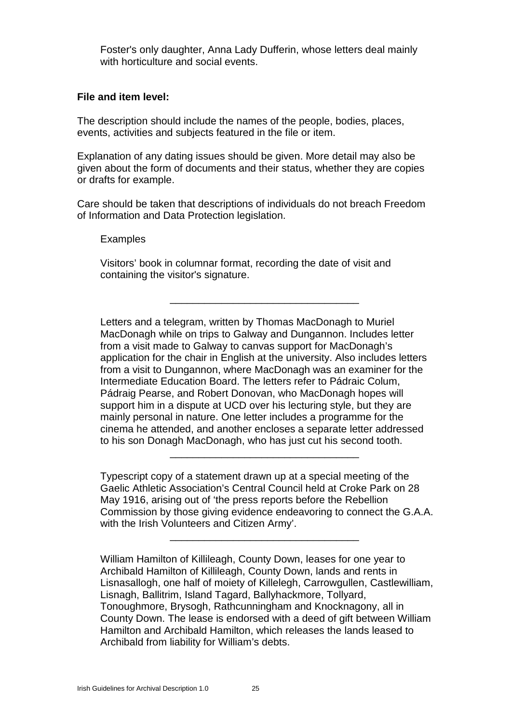Foster's only daughter, Anna Lady Dufferin, whose letters deal mainly with horticulture and social events.

#### **File and item level:**

The description should include the names of the people, bodies, places, events, activities and subjects featured in the file or item.

Explanation of any dating issues should be given. More detail may also be given about the form of documents and their status, whether they are copies or drafts for example.

Care should be taken that descriptions of individuals do not breach Freedom of Information and Data Protection legislation.

#### Examples

Visitors' book in columnar format, recording the date of visit and containing the visitor's signature.

Letters and a telegram, written by Thomas MacDonagh to Muriel MacDonagh while on trips to Galway and Dungannon. Includes letter from a visit made to Galway to canvas support for MacDonagh's application for the chair in English at the university. Also includes letters from a visit to Dungannon, where MacDonagh was an examiner for the Intermediate Education Board. The letters refer to Pádraic Colum, Pádraig Pearse, and Robert Donovan, who MacDonagh hopes will support him in a dispute at UCD over his lecturing style, but they are mainly personal in nature. One letter includes a programme for the cinema he attended, and another encloses a separate letter addressed to his son Donagh MacDonagh, who has just cut his second tooth.

\_\_\_\_\_\_\_\_\_\_\_\_\_\_\_\_\_\_\_\_\_\_\_\_\_\_\_\_\_\_\_\_\_

Typescript copy of a statement drawn up at a special meeting of the Gaelic Athletic Association's Central Council held at Croke Park on 28 May 1916, arising out of 'the press reports before the Rebellion Commission by those giving evidence endeavoring to connect the G.A.A. with the Irish Volunteers and Citizen Army'.

\_\_\_\_\_\_\_\_\_\_\_\_\_\_\_\_\_\_\_\_\_\_\_\_\_\_\_\_\_\_\_\_\_

\_\_\_\_\_\_\_\_\_\_\_\_\_\_\_\_\_\_\_\_\_\_\_\_\_\_\_\_\_\_\_\_\_

William Hamilton of Killileagh, County Down, leases for one year to Archibald Hamilton of Killileagh, County Down, lands and rents in Lisnasallogh, one half of moiety of Killelegh, Carrowgullen, Castlewilliam, Lisnagh, Ballitrim, Island Tagard, Ballyhackmore, Tollyard, Tonoughmore, Brysogh, Rathcunningham and Knocknagony, all in County Down. The lease is endorsed with a deed of gift between William Hamilton and Archibald Hamilton, which releases the lands leased to Archibald from liability for William's debts.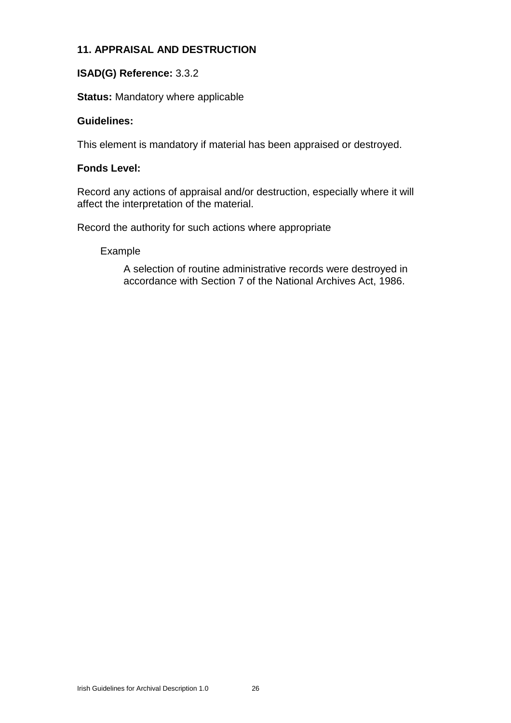# **11. APPRAISAL AND DESTRUCTION**

# **ISAD(G) Reference:** 3.3.2

# **Status:** Mandatory where applicable

## **Guidelines:**

This element is mandatory if material has been appraised or destroyed.

## **Fonds Level:**

Record any actions of appraisal and/or destruction, especially where it will affect the interpretation of the material.

Record the authority for such actions where appropriate

#### Example

A selection of routine administrative records were destroyed in accordance with Section 7 of the National Archives Act, 1986.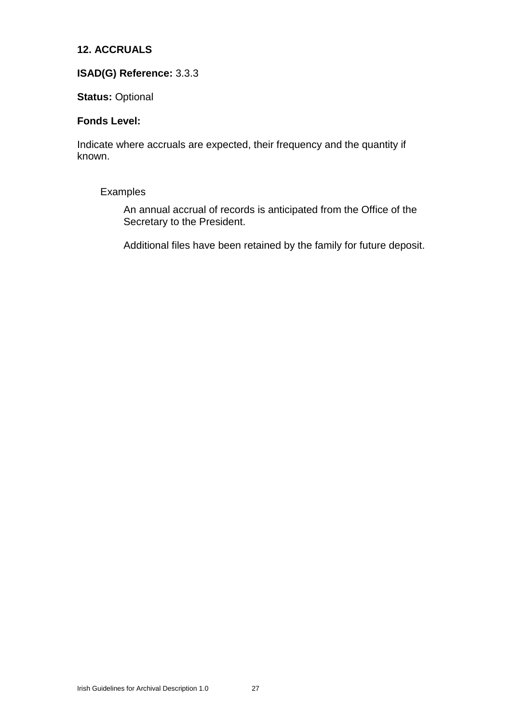# **12. ACCRUALS**

# **ISAD(G) Reference:** 3.3.3

#### **Status:** Optional

#### **Fonds Level:**

Indicate where accruals are expected, their frequency and the quantity if known.

#### Examples

An annual accrual of records is anticipated from the Office of the Secretary to the President.

Additional files have been retained by the family for future deposit.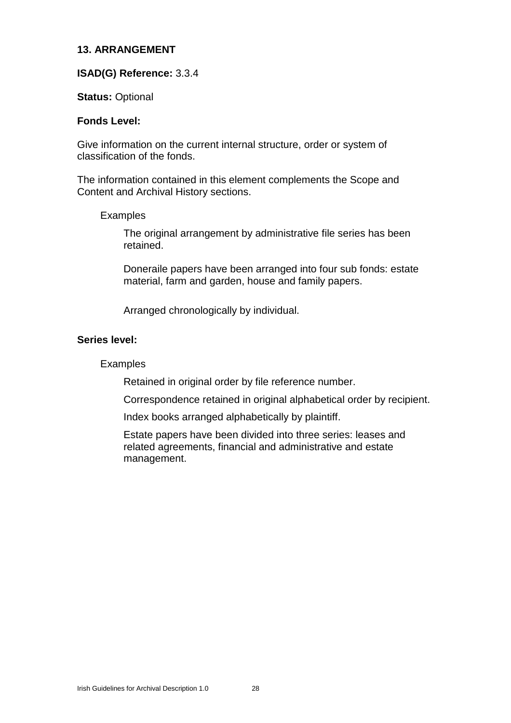#### **13. ARRANGEMENT**

#### **ISAD(G) Reference:** 3.3.4

#### **Status:** Optional

#### **Fonds Level:**

Give information on the current internal structure, order or system of classification of the fonds.

The information contained in this element complements the Scope and Content and Archival History sections.

#### Examples

The original arrangement by administrative file series has been retained.

Doneraile papers have been arranged into four sub fonds: estate material, farm and garden, house and family papers.

Arranged chronologically by individual.

#### **Series level:**

## Examples

Retained in original order by file reference number.

Correspondence retained in original alphabetical order by recipient.

Index books arranged alphabetically by plaintiff.

Estate papers have been divided into three series: leases and related agreements, financial and administrative and estate management.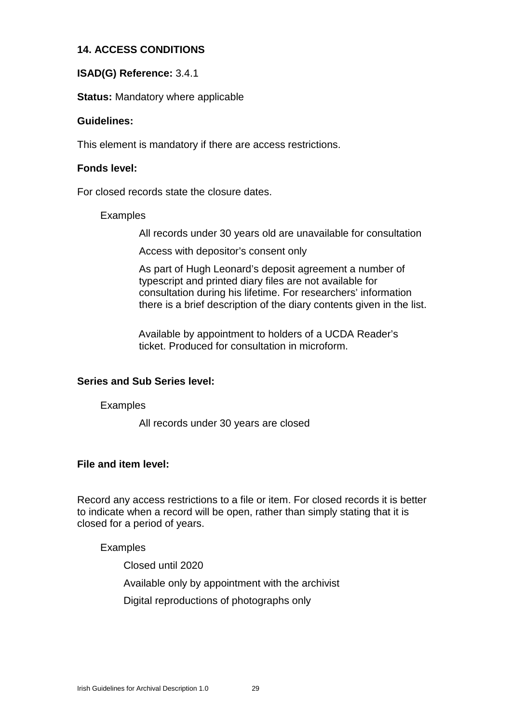# **14. ACCESS CONDITIONS**

# **ISAD(G) Reference:** 3.4.1

**Status:** Mandatory where applicable

#### **Guidelines:**

This element is mandatory if there are access restrictions.

#### **Fonds level:**

For closed records state the closure dates.

#### Examples

All records under 30 years old are unavailable for consultation

Access with depositor's consent only

As part of Hugh Leonard's deposit agreement a number of typescript and printed diary files are not available for consultation during his lifetime. For researchers' information there is a brief description of the diary contents given in the list.

Available by appointment to holders of a UCDA Reader's ticket. Produced for consultation in microform.

## **Series and Sub Series level:**

#### Examples

All records under 30 years are closed

## **File and item level:**

Record any access restrictions to a file or item. For closed records it is better to indicate when a record will be open, rather than simply stating that it is closed for a period of years.

## Examples

Closed until 2020

Available only by appointment with the archivist

Digital reproductions of photographs only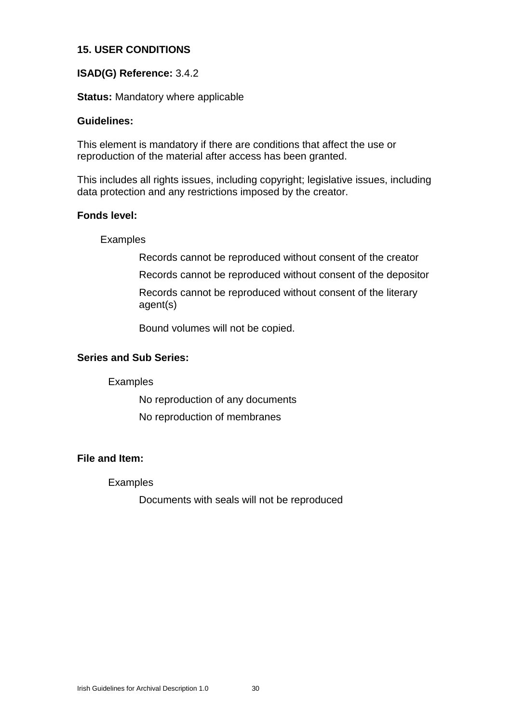# **15. USER CONDITIONS**

# **ISAD(G) Reference:** 3.4.2

**Status:** Mandatory where applicable

#### **Guidelines:**

This element is mandatory if there are conditions that affect the use or reproduction of the material after access has been granted.

This includes all rights issues, including copyright; legislative issues, including data protection and any restrictions imposed by the creator.

#### **Fonds level:**

#### Examples

Records cannot be reproduced without consent of the creator Records cannot be reproduced without consent of the depositor Records cannot be reproduced without consent of the literary agent(s)

Bound volumes will not be copied.

## **Series and Sub Series:**

## Examples

No reproduction of any documents No reproduction of membranes

## **File and Item:**

#### Examples

Documents with seals will not be reproduced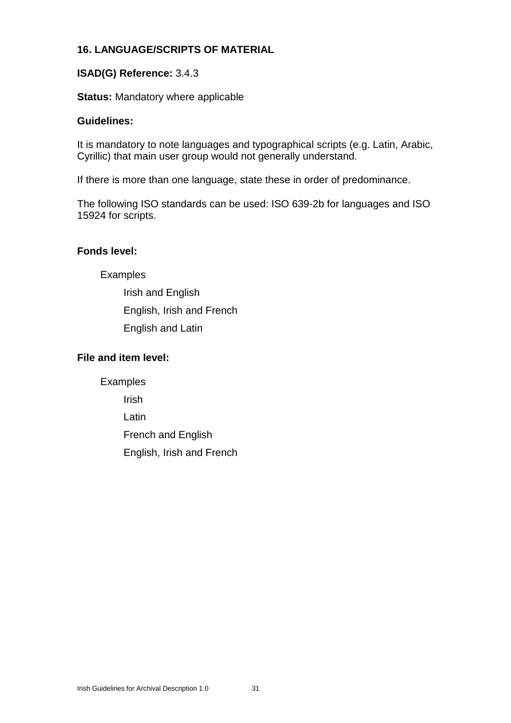# **16. LANGUAGE/SCRIPTS OF MATERIAL**

# **ISAD(G) Reference:** 3.4.3

# **Status:** Mandatory where applicable

## **Guidelines:**

It is mandatory to note languages and typographical scripts (e.g. Latin, Arabic, Cyrillic) that main user group would not generally understand.

If there is more than one language, state these in order of predominance.

The following ISO standards can be used: ISO 639-2b for languages and ISO 15924 for scripts.

# **Fonds level:**

Examples

Irish and English English, Irish and French English and Latin

# **File and item level:**

Examples

Irish

Latin

French and English

English, Irish and French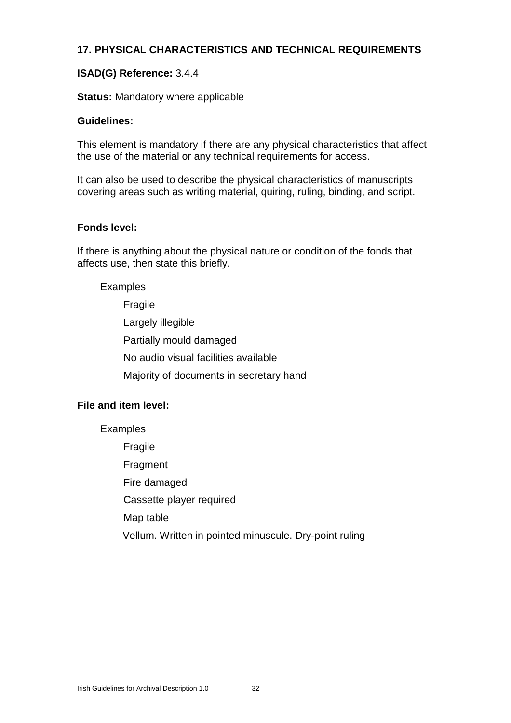# **17. PHYSICAL CHARACTERISTICS AND TECHNICAL REQUIREMENTS**

# **ISAD(G) Reference:** 3.4.4

**Status:** Mandatory where applicable

#### **Guidelines:**

This element is mandatory if there are any physical characteristics that affect the use of the material or any technical requirements for access.

It can also be used to describe the physical characteristics of manuscripts covering areas such as writing material, quiring, ruling, binding, and script.

#### **Fonds level:**

If there is anything about the physical nature or condition of the fonds that affects use, then state this briefly.

Examples

Fragile Largely illegible Partially mould damaged No audio visual facilities available Majority of documents in secretary hand

## **File and item level:**

Examples

Fragile Fragment Fire damaged Cassette player required Map table Vellum. Written in pointed minuscule. Dry-point ruling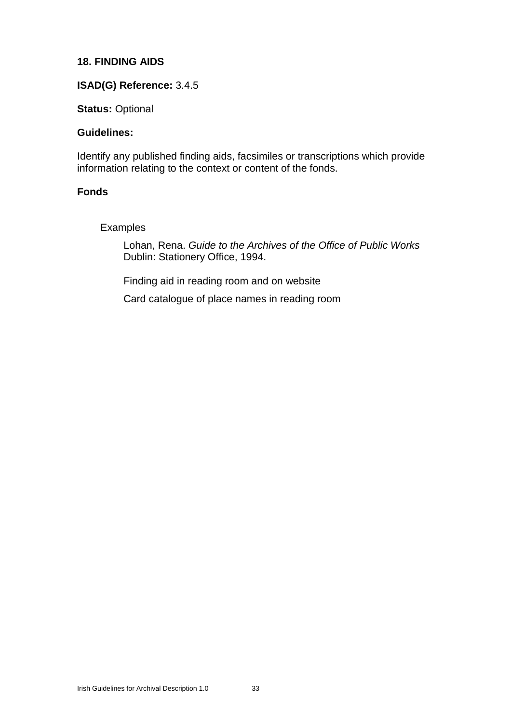# **18. FINDING AIDS**

# **ISAD(G) Reference:** 3.4.5

**Status:** Optional

## **Guidelines:**

Identify any published finding aids, facsimiles or transcriptions which provide information relating to the context or content of the fonds.

#### **Fonds**

## Examples

Lohan, Rena. *Guide to the Archives of the Office of Public Works* Dublin: Stationery Office, 1994.

Finding aid in reading room and on website Card catalogue of place names in reading room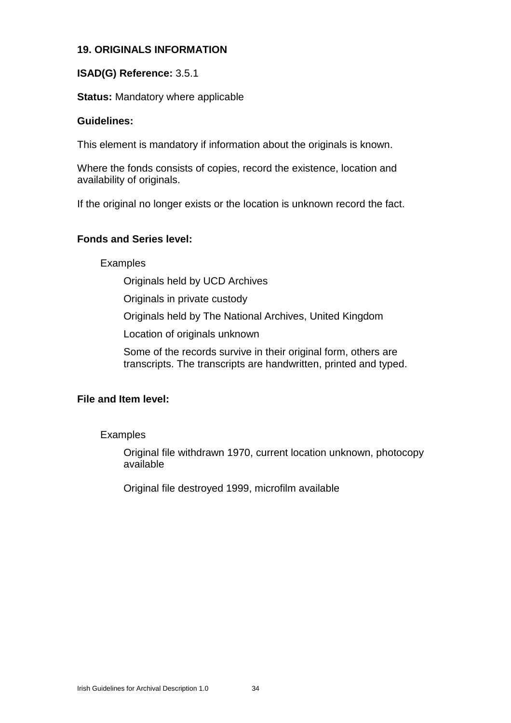# **19. ORIGINALS INFORMATION**

## **ISAD(G) Reference:** 3.5.1

#### **Status:** Mandatory where applicable

#### **Guidelines:**

This element is mandatory if information about the originals is known.

Where the fonds consists of copies, record the existence, location and availability of originals.

If the original no longer exists or the location is unknown record the fact.

#### **Fonds and Series level:**

Examples

Originals held by UCD Archives

Originals in private custody

Originals held by The National Archives, United Kingdom

Location of originals unknown

Some of the records survive in their original form, others are transcripts. The transcripts are handwritten, printed and typed.

## **File and Item level:**

Examples

Original file withdrawn 1970, current location unknown, photocopy available

Original file destroyed 1999, microfilm available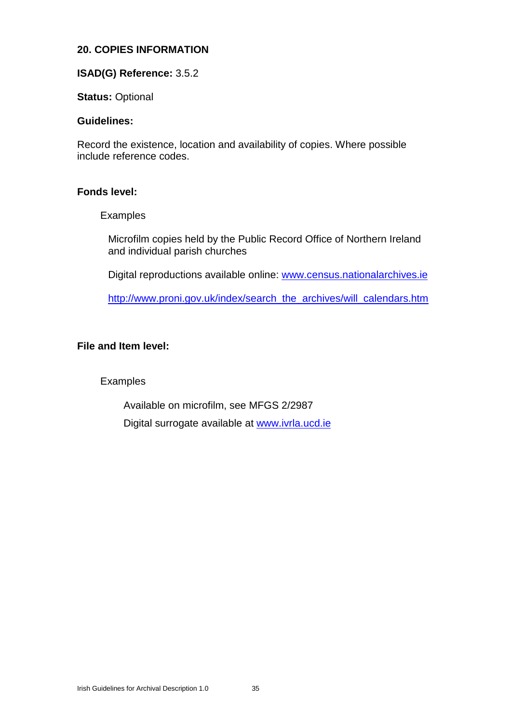# **20. COPIES INFORMATION**

## **ISAD(G) Reference:** 3.5.2

**Status:** Optional

#### **Guidelines:**

Record the existence, location and availability of copies. Where possible include reference codes.

#### **Fonds level:**

#### Examples

Microfilm copies held by the Public Record Office of Northern Ireland and individual parish churches

Digital reproductions available online: www.census.nationalarchives.ie

http://www.proni.gov.uk/index/search\_the\_archives/will\_calendars.htm

## **File and Item level:**

Examples

Available on microfilm, see MFGS 2/2987

Digital surrogate available at www.ivrla.ucd.ie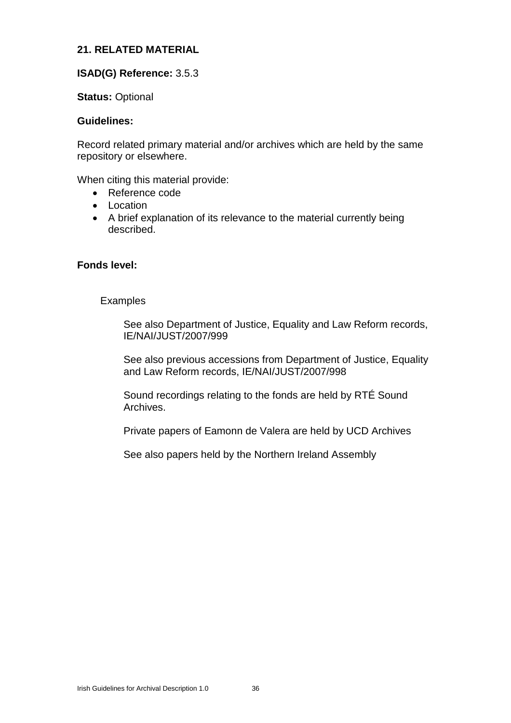## **21. RELATED MATERIAL**

#### **ISAD(G) Reference:** 3.5.3

#### **Status:** Optional

#### **Guidelines:**

Record related primary material and/or archives which are held by the same repository or elsewhere.

When citing this material provide:

- Reference code
- $\bullet$  Location
- A brief explanation of its relevance to the material currently being described.

#### **Fonds level:**

#### **Examples**

See also Department of Justice, Equality and Law Reform records, IE/NAI/JUST/2007/999

See also previous accessions from Department of Justice, Equality and Law Reform records, IE/NAI/JUST/2007/998

Sound recordings relating to the fonds are held by RTÉ Sound Archives.

Private papers of Eamonn de Valera are held by UCD Archives

See also papers held by the Northern Ireland Assembly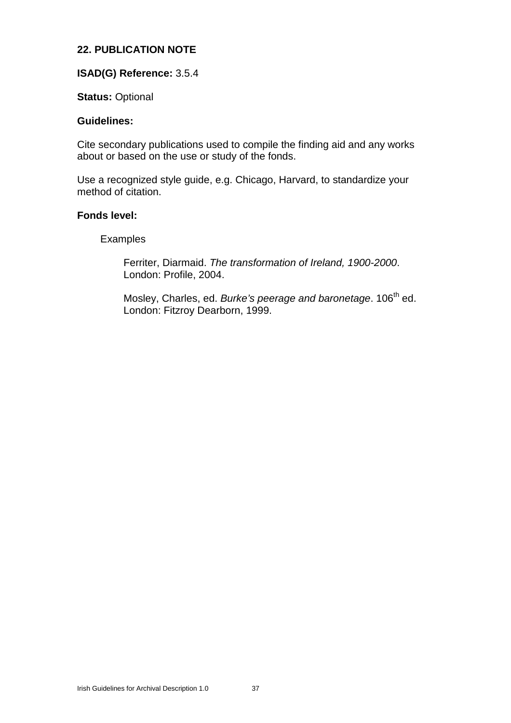# **22. PUBLICATION NOTE**

## **ISAD(G) Reference:** 3.5.4

#### **Status:** Optional

#### **Guidelines:**

Cite secondary publications used to compile the finding aid and any works about or based on the use or study of the fonds.

Use a recognized style guide, e.g. Chicago, Harvard, to standardize your method of citation.

#### **Fonds level:**

#### Examples

Ferriter, Diarmaid. *The transformation of Ireland, 1900-2000*. London: Profile, 2004.

Mosley, Charles, ed. Burke's peerage and baronetage. 106<sup>th</sup> ed. London: Fitzroy Dearborn, 1999.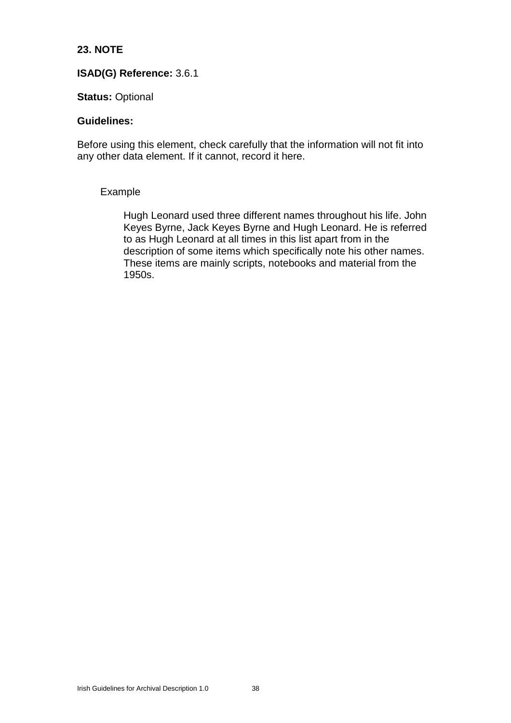# **23. NOTE**

## **ISAD(G) Reference:** 3.6.1

#### **Status:** Optional

#### **Guidelines:**

Before using this element, check carefully that the information will not fit into any other data element. If it cannot, record it here.

#### Example

Hugh Leonard used three different names throughout his life. John Keyes Byrne, Jack Keyes Byrne and Hugh Leonard. He is referred to as Hugh Leonard at all times in this list apart from in the description of some items which specifically note his other names. These items are mainly scripts, notebooks and material from the 1950s.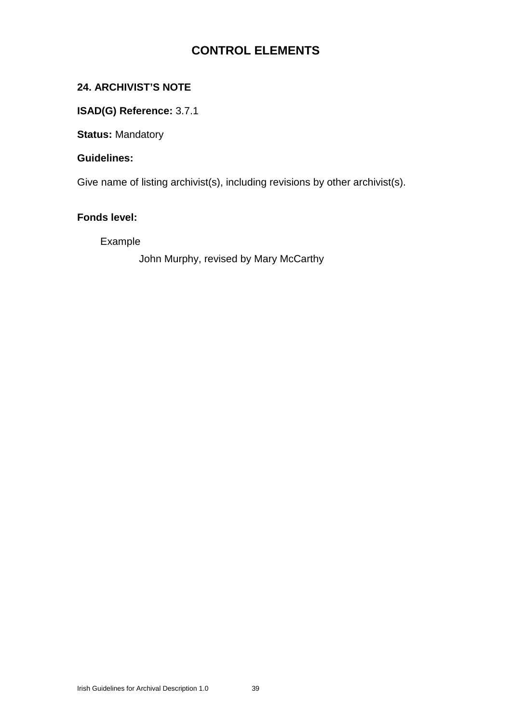# **CONTROL ELEMENTS**

# **24. ARCHIVIST'S NOTE**

# **ISAD(G) Reference:** 3.7.1

**Status:** Mandatory

## **Guidelines:**

Give name of listing archivist(s), including revisions by other archivist(s).

# **Fonds level:**

# Example

John Murphy, revised by Mary McCarthy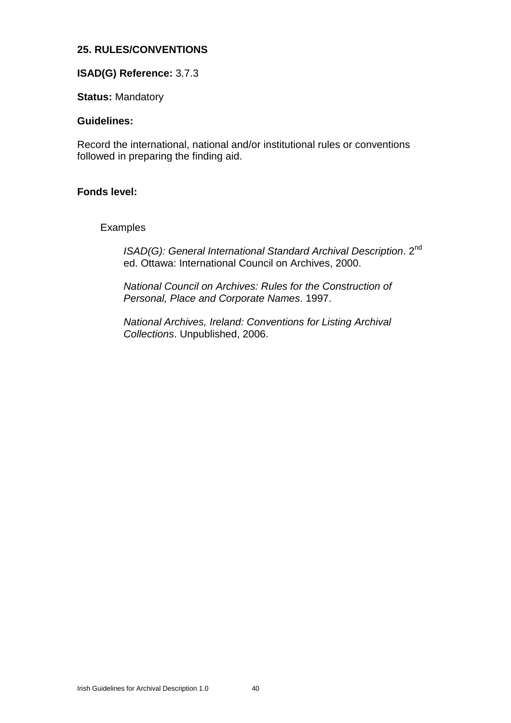# **25. RULES/CONVENTIONS**

## **ISAD(G) Reference:** 3.7.3

**Status:** Mandatory

#### **Guidelines:**

Record the international, national and/or institutional rules or conventions followed in preparing the finding aid.

#### **Fonds level:**

#### Examples

ISAD(G): General International Standard Archival Description. 2<sup>nd</sup> ed. Ottawa: International Council on Archives, 2000.

*National Council on Archives: Rules for the Construction of Personal, Place and Corporate Names*. 1997.

*National Archives, Ireland: Conventions for Listing Archival Collections*. Unpublished, 2006.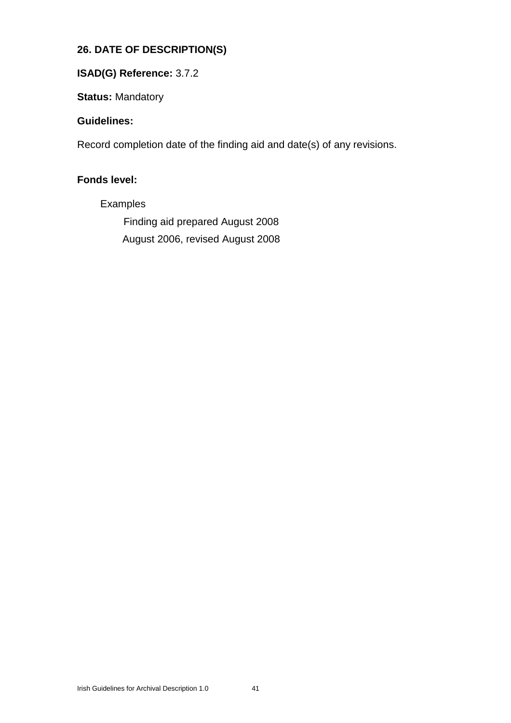# **26. DATE OF DESCRIPTION(S)**

# **ISAD(G) Reference:** 3.7.2

**Status:** Mandatory

# **Guidelines:**

Record completion date of the finding aid and date(s) of any revisions.

# **Fonds level:**

Examples

Finding aid prepared August 2008 August 2006, revised August 2008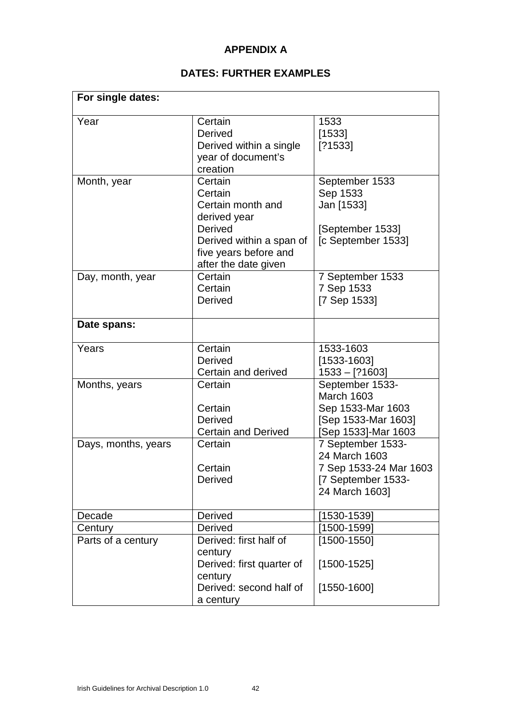# **APPENDIX A**

# **DATES: FURTHER EXAMPLES**

| For single dates:   |                                                                                                                                                        |                                                                                                         |
|---------------------|--------------------------------------------------------------------------------------------------------------------------------------------------------|---------------------------------------------------------------------------------------------------------|
| Year                | Certain<br><b>Derived</b><br>Derived within a single<br>year of document's<br>creation                                                                 | 1533<br>[1533]<br>[?1533]                                                                               |
| Month, year         | Certain<br>Certain<br>Certain month and<br>derived year<br><b>Derived</b><br>Derived within a span of<br>five years before and<br>after the date given | September 1533<br>Sep 1533<br>Jan [1533]<br>[September 1533]<br>[c September 1533]                      |
| Day, month, year    | Certain<br>Certain<br><b>Derived</b>                                                                                                                   | 7 September 1533<br>7 Sep 1533<br>[7 Sep 1533]                                                          |
| Date spans:         |                                                                                                                                                        |                                                                                                         |
| Years               | Certain<br><b>Derived</b><br>Certain and derived                                                                                                       | 1533-1603<br>$[1533-1603]$<br>$1533 - [?1603]$                                                          |
| Months, years       | Certain<br>Certain<br><b>Derived</b><br><b>Certain and Derived</b>                                                                                     | September 1533-<br><b>March 1603</b><br>Sep 1533-Mar 1603<br>[Sep 1533-Mar 1603]<br>[Sep 1533]-Mar 1603 |
| Days, months, years | Certain<br>Certain<br>Derived                                                                                                                          | 7 September 1533-<br>24 March 1603<br>7 Sep 1533-24 Mar 1603<br>[7 September 1533-<br>24 March 1603]    |
| Decade              | <b>Derived</b>                                                                                                                                         | $[1530 - 1539]$                                                                                         |
| Century             | <b>Derived</b>                                                                                                                                         | [1500-1599]                                                                                             |
| Parts of a century  | Derived: first half of<br>century<br>Derived: first quarter of<br>century<br>Derived: second half of<br>a century                                      | $[1500 - 1550]$<br>$[1500 - 1525]$<br>$[1550-1600]$                                                     |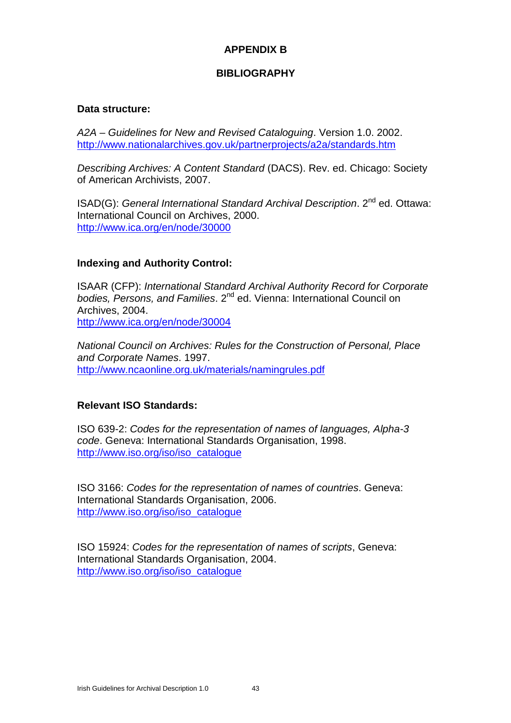# **APPENDIX B**

# **BIBLIOGRAPHY**

#### **Data structure:**

*A2A – Guidelines for New and Revised Cataloguing*. Version 1.0. 2002. http://www.nationalarchives.gov.uk/partnerprojects/a2a/standards.htm

*Describing Archives: A Content Standard* (DACS). Rev. ed. Chicago: Society of American Archivists, 2007.

ISAD(G): General International Standard Archival Description. 2<sup>nd</sup> ed. Ottawa: International Council on Archives, 2000. http://www.ica.org/en/node/30000

## **Indexing and Authority Control:**

ISAAR (CFP): *International Standard Archival Authority Record for Corporate* bodies, Persons, and Families. 2<sup>nd</sup> ed. Vienna: International Council on Archives, 2004. http://www.ica.org/en/node/30004

*National Council on Archives: Rules for the Construction of Personal, Place and Corporate Names*. 1997. http://www.ncaonline.org.uk/materials/namingrules.pdf

## **Relevant ISO Standards:**

ISO 639-2: *Codes for the representation of names of languages, Alpha-3 code*. Geneva: International Standards Organisation, 1998. http://www.iso.org/iso/iso\_catalogue

ISO 3166: *Codes for the representation of names of countries*. Geneva: International Standards Organisation, 2006. http://www.iso.org/iso/iso\_catalogue

ISO 15924: *Codes for the representation of names of scripts*, Geneva: International Standards Organisation, 2004. http://www.iso.org/iso/iso\_catalogue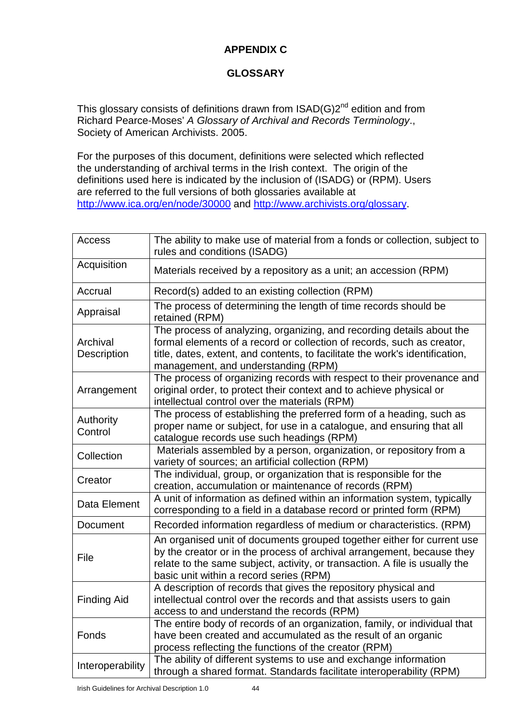# **APPENDIX C**

# **GLOSSARY**

This glossary consists of definitions drawn from  $ISAD(G)2^{nd}$  edition and from Richard Pearce-Moses' *A Glossary of Archival and Records Terminology*., Society of American Archivists. 2005.

For the purposes of this document, definitions were selected which reflected the understanding of archival terms in the Irish context. The origin of the definitions used here is indicated by the inclusion of (ISADG) or (RPM). Users are referred to the full versions of both glossaries available at http://www.ica.org/en/node/30000 and http://www.archivists.org/glossary.

| Access                  | The ability to make use of material from a fonds or collection, subject to<br>rules and conditions (ISADG)                                                                                                                                                                 |
|-------------------------|----------------------------------------------------------------------------------------------------------------------------------------------------------------------------------------------------------------------------------------------------------------------------|
| Acquisition             | Materials received by a repository as a unit; an accession (RPM)                                                                                                                                                                                                           |
| Accrual                 | Record(s) added to an existing collection (RPM)                                                                                                                                                                                                                            |
| Appraisal               | The process of determining the length of time records should be<br>retained (RPM)                                                                                                                                                                                          |
| Archival<br>Description | The process of analyzing, organizing, and recording details about the<br>formal elements of a record or collection of records, such as creator,<br>title, dates, extent, and contents, to facilitate the work's identification,<br>management, and understanding (RPM)     |
| Arrangement             | The process of organizing records with respect to their provenance and<br>original order, to protect their context and to achieve physical or<br>intellectual control over the materials (RPM)                                                                             |
| Authority<br>Control    | The process of establishing the preferred form of a heading, such as<br>proper name or subject, for use in a catalogue, and ensuring that all<br>catalogue records use such headings (RPM)                                                                                 |
| Collection              | Materials assembled by a person, organization, or repository from a<br>variety of sources; an artificial collection (RPM)                                                                                                                                                  |
| Creator                 | The individual, group, or organization that is responsible for the<br>creation, accumulation or maintenance of records (RPM)                                                                                                                                               |
| Data Element            | A unit of information as defined within an information system, typically<br>corresponding to a field in a database record or printed form (RPM)                                                                                                                            |
| Document                | Recorded information regardless of medium or characteristics. (RPM)                                                                                                                                                                                                        |
| File                    | An organised unit of documents grouped together either for current use<br>by the creator or in the process of archival arrangement, because they<br>relate to the same subject, activity, or transaction. A file is usually the<br>basic unit within a record series (RPM) |
| <b>Finding Aid</b>      | A description of records that gives the repository physical and<br>intellectual control over the records and that assists users to gain<br>access to and understand the records (RPM)                                                                                      |
| Fonds                   | The entire body of records of an organization, family, or individual that<br>have been created and accumulated as the result of an organic<br>process reflecting the functions of the creator (RPM)                                                                        |
| Interoperability        | The ability of different systems to use and exchange information<br>through a shared format. Standards facilitate interoperability (RPM)                                                                                                                                   |